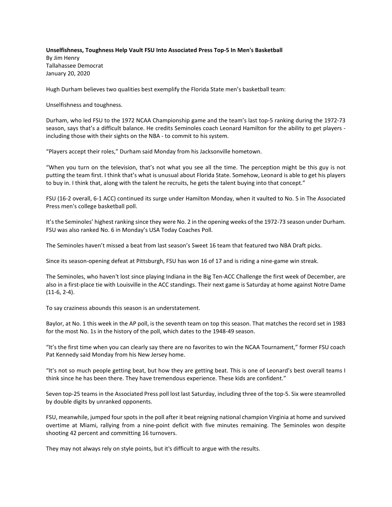## **Unselfishness, Toughness Help Vault FSU Into Associated Press Top-5 In Men's Basketball** By Jim Henry Tallahassee Democrat January 20, 2020

Hugh Durham believes two qualities best exemplify the Florida State men's basketball team:

Unselfishness and toughness.

Durham, who led FSU to the 1972 NCAA Championship game and the team's last top-5 ranking during the 1972-73 season, says that's a difficult balance. He credits Seminoles coach Leonard Hamilton for the ability to get players including those with their sights on the NBA - to commit to his system.

"Players accept their roles," Durham said Monday from his Jacksonville hometown.

"When you turn on the television, that's not what you see all the time. The perception might be this guy is not putting the team first. I think that's what is unusual about Florida State. Somehow, Leonard is able to get his players to buy in. I think that, along with the talent he recruits, he gets the talent buying into that concept."

FSU (16-2 overall, 6-1 ACC) continued its surge under Hamilton Monday, when it vaulted to No. 5 in The Associated Press men's college basketball poll.

It's the Seminoles' highest ranking since they were No. 2 in the opening weeks of the 1972-73 season under Durham. FSU was also ranked No. 6 in Monday's USA Today Coaches Poll.

The Seminoles haven't missed a beat from last season's Sweet 16 team that featured two NBA Draft picks.

Since its season-opening defeat at Pittsburgh, FSU has won 16 of 17 and is riding a nine-game win streak.

The Seminoles, who haven't lost since playing Indiana in the Big Ten-ACC Challenge the first week of December, are also in a first-place tie with Louisville in the ACC standings. Their next game is Saturday at home against Notre Dame (11-6, 2-4).

To say craziness abounds this season is an understatement.

Baylor, at No. 1 this week in the AP poll, is the seventh team on top this season. That matches the record set in 1983 for the most No. 1s in the history of the poll, which dates to the 1948-49 season.

"It's the first time when you can clearly say there are no favorites to win the NCAA Tournament," former FSU coach Pat Kennedy said Monday from his New Jersey home.

"It's not so much people getting beat, but how they are getting beat. This is one of Leonard's best overall teams I think since he has been there. They have tremendous experience. These kids are confident."

Seven top-25 teams in the Associated Press poll lost last Saturday, including three of the top-5. Six were steamrolled by double digits by unranked opponents.

FSU, meanwhile, jumped four spots in the poll after it beat reigning national champion Virginia at home and survived overtime at Miami, rallying from a nine-point deficit with five minutes remaining. The Seminoles won despite shooting 42 percent and committing 16 turnovers.

They may not always rely on style points, but it's difficult to argue with the results.